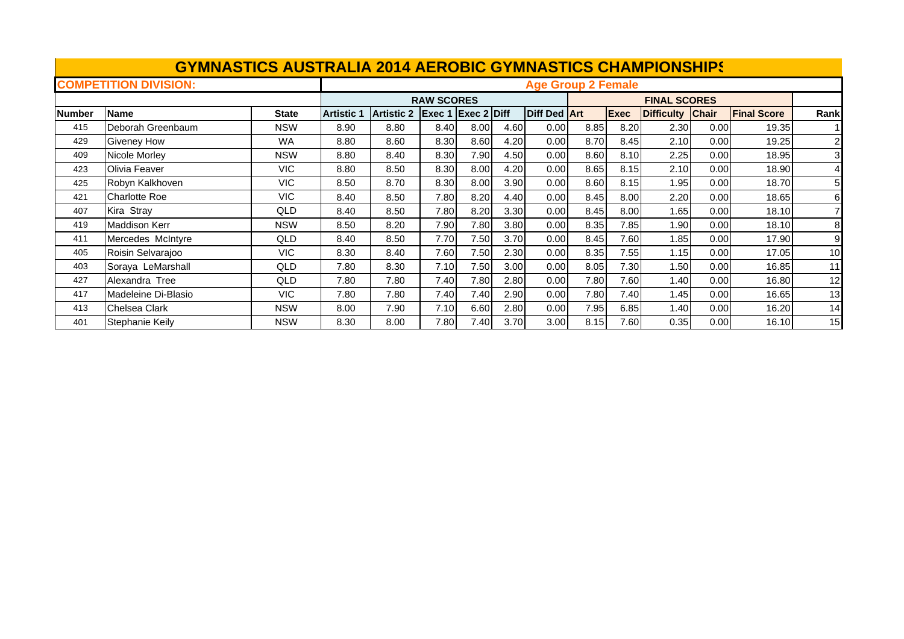|               | <b>GYMNASTICS AUSTRALIA 2014 AEROBIC GYMNASTICS CHAMPIONSHIPS</b> |              |                   |                   |                   |               |      |                           |      |             |                     |              |                    |              |
|---------------|-------------------------------------------------------------------|--------------|-------------------|-------------------|-------------------|---------------|------|---------------------------|------|-------------|---------------------|--------------|--------------------|--------------|
|               | <b>COMPETITION DIVISION:</b>                                      |              |                   |                   |                   |               |      | <b>Age Group 2 Female</b> |      |             |                     |              |                    |              |
|               |                                                                   |              |                   |                   | <b>RAW SCORES</b> |               |      |                           |      |             | <b>FINAL SCORES</b> |              |                    |              |
| <b>Number</b> | <b>Name</b>                                                       | <b>State</b> | <b>Artistic 1</b> | <b>Artistic 2</b> | Exec 1            | $Exec 2$ Diff |      | <b>Diff Ded Art</b>       |      | <b>Exec</b> | <b>Difficulty</b>   | <b>Chair</b> | <b>Final Score</b> | Rank         |
| 415           | Deborah Greenbaum                                                 | <b>NSW</b>   | 8.90              | 8.80              | 8.40              | 8.00          | 4.60 | 0.00                      | 8.85 | 8.20        | 2.30                | 0.00         | 19.35              |              |
| 429           | <b>Giveney How</b>                                                | <b>WA</b>    | 8.80              | 8.60              | 8.30              | 8.60          | 4.20 | 0.00                      | 8.70 | 8.45        | 2.10                | 0.00         | 19.25              | $\mathbf{2}$ |
| 409           | Nicole Morley                                                     | <b>NSW</b>   | 8.80              | 8.40              | 8.30              | 7.90          | 4.50 | 0.00                      | 8.60 | 8.10        | 2.25                | 0.00         | 18.95              | 3            |
| 423           | Olivia Feaver                                                     | <b>VIC</b>   | 8.80              | 8.50              | 8.30              | 8.00          | 4.20 | 0.00                      | 8.65 | 8.15        | 2.10                | 0.00         | 18.90              |              |
| 425           | Robyn Kalkhoven                                                   | <b>VIC</b>   | 8.50              | 8.70              | 8.30              | 8.00          | 3.90 | 0.00                      | 8.60 | 8.15        | 1.95                | 0.00         | 18.70              | 51           |
| 421           | <b>Charlotte Roe</b>                                              | <b>VIC</b>   | 8.40              | 8.50              | 7.80              | 8.20          | 4.40 | 0.00                      | 8.45 | 8.00        | 2.20                | 0.00         | 18.65              | 61           |
| 407           | Kira Stray                                                        | QLD          | 8.40              | 8.50              | 7.80              | 8.20          | 3.30 | 0.00                      | 8.45 | 8.00        | 1.65                | 0.00         | 18.10              |              |
| 419           | <b>Maddison Kerr</b>                                              | <b>NSW</b>   | 8.50              | 8.20              | 7.90              | 7.80          | 3.80 | 0.00                      | 8.35 | 7.85        | 1.90                | 0.00         | 18.10              | 8            |
| 411           | Mercedes McIntyre                                                 | QLD          | 8.40              | 8.50              | 7.70              | 7.50          | 3.70 | 0.00                      | 8.45 | 7.60        | 1.85                | 0.00         | 17.90              | 9            |
| 405           | Roisin Selvarajoo                                                 | <b>VIC</b>   | 8.30              | 8.40              | 7.60              | 7.50          | 2.30 | 0.00                      | 8.35 | 7.55        | 1.15                | 0.00         | 17.05              | 10           |
| 403           | Soraya LeMarshall                                                 | QLD          | 7.80              | 8.30              | 7.10              | 7.50          | 3.00 | 0.00                      | 8.05 | 7.30        | 1.50                | 0.00         | 16.85              | 11           |
| 427           | Alexandra Tree                                                    | QLD          | 7.80              | 7.80              | 7.40              | 7.80          | 2.80 | 0.00                      | 7.80 | 7.60        | 1.40                | 0.00         | 16.80              | 12           |
| 417           | Madeleine Di-Blasio                                               | VIC.         | 7.80              | 7.80              | 7.40              | 7.40          | 2.90 | 0.00                      | 7.80 | 7.40        | 1.45                | 0.00         | 16.65              | 13           |
| 413           | <b>Chelsea Clark</b>                                              | <b>NSW</b>   | 8.00              | 7.90              | 7.10              | 6.60          | 2.80 | 0.00                      | 7.95 | 6.85        | 1.40                | 0.00         | 16.20              | 14           |
| 401           | Stephanie Keily                                                   | <b>NSW</b>   | 8.30              | 8.00              | 7.80              | 7.40          | 3.70 | 3.00                      | 8.15 | 7.60        | 0.35                | 0.00         | 16.10              | 15           |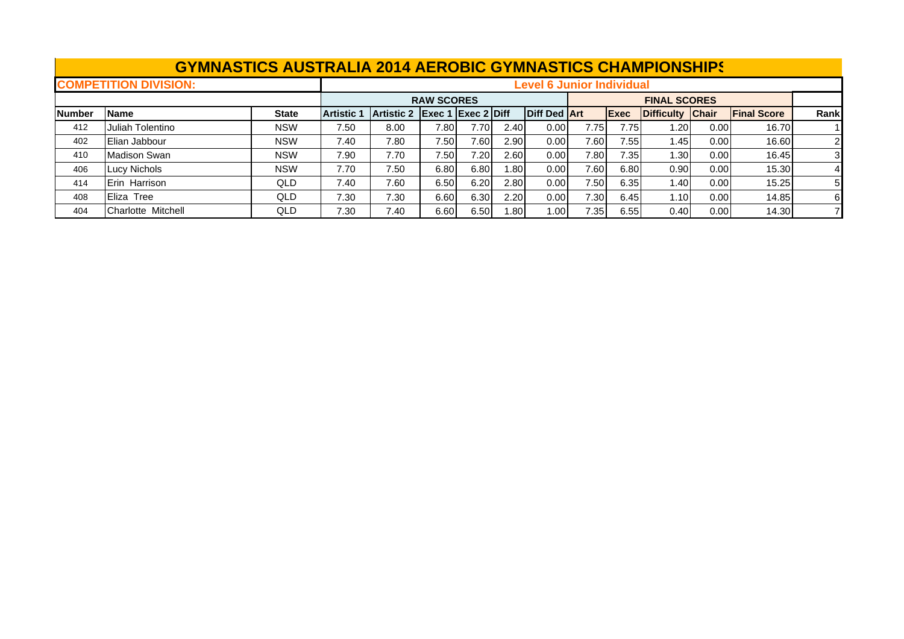|               | <b>GYMNASTICS AUSTRALIA 2014 AEROBIC GYMNASTICS CHAMPIONSHIPS</b> |            |                   |                                                                                                                       |                    |      |       |                                  |      |             |                     |      |                    |       |  |
|---------------|-------------------------------------------------------------------|------------|-------------------|-----------------------------------------------------------------------------------------------------------------------|--------------------|------|-------|----------------------------------|------|-------------|---------------------|------|--------------------|-------|--|
|               | <b>COMPETITION DIVISION:</b>                                      |            |                   |                                                                                                                       |                    |      |       | <b>Level 6 Junior Individual</b> |      |             |                     |      |                    |       |  |
|               |                                                                   |            |                   |                                                                                                                       | <b>RAW SCORES</b>  |      |       |                                  |      |             | <b>FINAL SCORES</b> |      |                    |       |  |
| <b>Number</b> | <b>Name</b>                                                       | State      | <b>Artistic 1</b> | <b>Artistic 2</b>                                                                                                     | Exec 1 Exec 2 Diff |      |       | <b>Diff Ded Art</b>              |      | <b>Exec</b> | Difficulty Chair    |      | <b>Final Score</b> | Rankl |  |
| 412           | Juliah Tolentino                                                  | <b>NSW</b> | 7.50              | 8.00<br>7.80<br>7.70<br>0.00 <sub>l</sub><br>16.70<br>2.40<br>7.75I<br>7.75<br>$\sim$ 20<br>0.00 <sub>l</sub>         |                    |      |       |                                  |      |             |                     |      |                    |       |  |
| 402           | Elian Jabbour                                                     | <b>NSW</b> | 7.40              | 7.60 <sub>1</sub><br>7.80<br>7.50<br>7.60<br>2.90<br>0.00 <sub>l</sub><br>7.55<br>16.60<br>l.45I<br>0.00 <sub>l</sub> |                    |      |       |                                  |      |             |                     |      | 21                 |       |  |
| 410           | <b>Madison Swan</b>                                               | <b>NSW</b> | 7.90              | 7.70                                                                                                                  | 7.50               | 7.20 | 2.60  | 0.00 <sub>l</sub>                | 7.80 | 7.35        | 1.301               | 0.00 | 16.45              | 31    |  |
| 406           | Lucy Nichols                                                      | <b>NSW</b> | 7.70              | 7.50                                                                                                                  | 6.80               | 6.80 | 1.801 | 0.00 <sub>l</sub>                | 7.60 | 6.80        | 0.90                | 0.00 | 15.30              |       |  |
| 414           | <b>Erin Harrison</b>                                              | QLD        | 7.40              | 7.60                                                                                                                  | 6.50               | 6.20 | 2.80  | 0.00 <sub>l</sub>                | 7.50 | 6.35        | ا 40. ا             | 0.00 | 15.25              | 51    |  |
| 408           | Eliza Tree                                                        | QLD        | 7.30              | 7.30 <sub>1</sub><br>7.30<br>6.60<br>6.30<br>2.20<br>0.00 <sub>l</sub><br>0.00<br>14.85<br>6.45<br>1.10               |                    |      |       |                                  |      |             |                     |      |                    |       |  |
| 404           | Charlotte Mitchell                                                | QLD        | 7.30              | 7.40                                                                                                                  | 6.60               | 6.50 | 1.801 | 1.00 <sub>l</sub>                | 7.35 | 6.55        | 0.40                | 0.00 | 14.30              |       |  |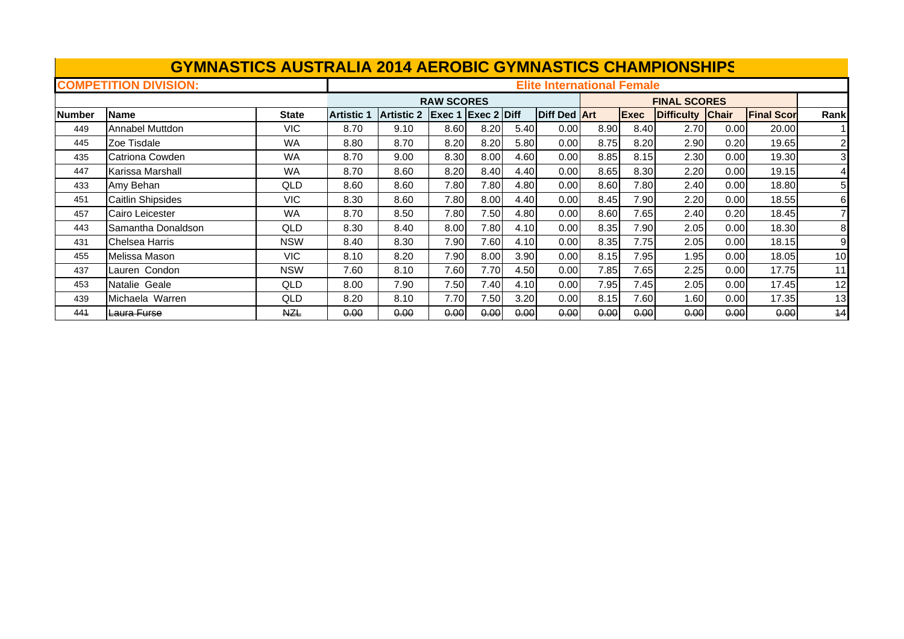|        | <b>GYMNASTICS AUSTRALIA 2014 AEROBIC GYMNASTICS CHAMPIONSHIPS</b> |              |                   |                   |                   |                    |      |                                   |      |      |                     |              |                   |                |
|--------|-------------------------------------------------------------------|--------------|-------------------|-------------------|-------------------|--------------------|------|-----------------------------------|------|------|---------------------|--------------|-------------------|----------------|
|        | <b>COMPETITION DIVISION:</b>                                      |              |                   |                   |                   |                    |      | <b>Elite International Female</b> |      |      |                     |              |                   |                |
|        |                                                                   |              |                   |                   | <b>RAW SCORES</b> |                    |      |                                   |      |      | <b>FINAL SCORES</b> |              |                   |                |
| Number | <b>Name</b>                                                       | <b>State</b> | <b>Artistic 1</b> | <b>Artistic 2</b> |                   | Exec 1 Exec 2 Diff |      | <b>Diff Ded Art</b>               |      | Exec | <b>Difficulty</b>   | <b>Chair</b> | <b>Final Scor</b> | Rank           |
| 449    | Annabel Muttdon                                                   | VIC.         | 8.70              | 9.10              | 8.60              | 8.20               | 5.40 | 0.00                              | 8.90 | 8.40 | 2.70                | 0.00         | 20.00             |                |
| 445    | Zoe Tisdale                                                       | WA           | 8.80              | 8.70              | 8.20              | 8.20               | 5.80 | 0.00                              | 8.75 | 8.20 | 2.90                | 0.20         | 19.65             | $\overline{2}$ |
| 435    | Catriona Cowden                                                   | WA           | 8.70              | 9.00              | 8.30              | 8.00               | 4.60 | 0.00                              | 8.85 | 8.15 | 2.30                | 0.00         | 19.30             | 3              |
| 447    | Karissa Marshall                                                  | WA           | 8.70              | 8.60              | 8.20              | 8.40               | 4.40 | 0.00                              | 8.65 | 8.30 | 2.20                | 0.00         | 19.15             |                |
| 433    | Amy Behan                                                         | QLD          | 8.60              | 8.60              | 7.80              | 7.80               | 4.80 | 0.00                              | 8.60 | 7.80 | 2.40                | 0.00         | 18.80             | 5              |
| 451    | <b>Caitlin Shipsides</b>                                          | VIC.         | 8.30              | 8.60              | 7.80              | 8.00               | 4.40 | 0.00                              | 8.45 | 7.90 | 2.20                | 0.00         | 18.55             | 61             |
| 457    | Cairo Leicester                                                   | WA           | 8.70              | 8.50              | 7.80              | 7.50               | 4.80 | 0.00                              | 8.60 | 7.65 | 2.40                | 0.20         | 18.45             |                |
| 443    | Samantha Donaldson                                                | QLD          | 8.30              | 8.40              | 8.00              | 7.80               | 4.10 | 0.00                              | 8.35 | 7.90 | 2.05                | 0.00         | 18.30             | 8              |
| 431    | Chelsea Harris                                                    | <b>NSW</b>   | 8.40              | 8.30              | 7.90              | 7.60               | 4.10 | 0.00                              | 8.35 | 7.75 | 2.05                | 0.00         | 18.15             | 9              |
| 455    | Melissa Mason                                                     | VIC.         | 8.10              | 8.20              | 7.90              | 8.00               | 3.90 | 0.00                              | 8.15 | 7.95 | 1.951               | 0.00         | 18.05             | 10             |
| 437    | Lauren Condon                                                     | <b>NSW</b>   | 7.60              | 8.10              | 7.60              | 7.70               | 4.50 | 0.00                              | 7.85 | 7.65 | 2.25                | 0.00         | 17.75             | 11             |
| 453    | Natalie Geale                                                     | QLD          | 8.00              | 7.90              | 7.50              | 7.40               | 4.10 | 0.00                              | 7.95 | 7.45 | 2.05                | 0.00         | 17.45             | 12             |
| 439    | Michaela Warren                                                   | QLD          | 8.20              | 8.10              | 7.70              | 7.50               | 3.20 | 0.00                              | 8.15 | 7.60 | 1.60                | 0.00         | 17.35             | 13             |
| 441    | <del>Laura Furse</del>                                            | <b>NZL</b>   | 0.00              | 0.00              | 0.00              | 0.00               | 0.00 | 0.00                              | 0.00 | 0.00 | 0.00                | 0.00         | 0.00              | 14             |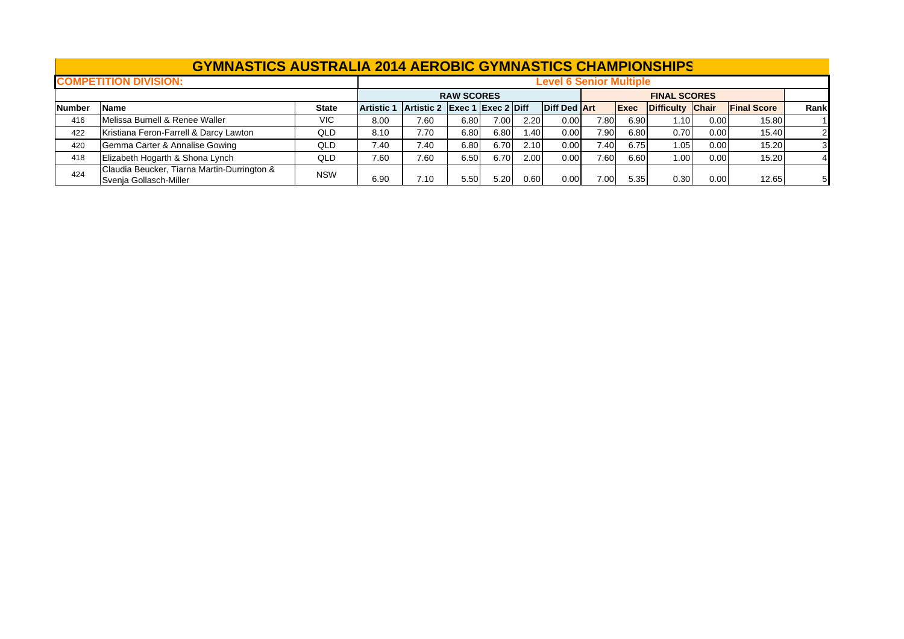|               | <b>GYMNASTICS AUSTRALIA 2014 AEROBIC GYMNASTICS CHAMPIONSHIPS</b>     |              |                   |                               |                   |      |                  |                                |      |             |                     |      |                    |                |
|---------------|-----------------------------------------------------------------------|--------------|-------------------|-------------------------------|-------------------|------|------------------|--------------------------------|------|-------------|---------------------|------|--------------------|----------------|
|               | <b>COMPETITION DIVISION:</b>                                          |              |                   |                               |                   |      |                  | <b>Level 6 Senior Multiple</b> |      |             |                     |      |                    |                |
|               |                                                                       |              |                   |                               | <b>RAW SCORES</b> |      |                  |                                |      |             | <b>FINAL SCORES</b> |      |                    |                |
| <b>Number</b> | <b>Name</b>                                                           | <b>State</b> | <b>Artistic 1</b> | Artistic 2 Exec 1 Exec 2 Diff |                   |      |                  | <b>Diff Ded Art</b>            |      | <b>Exec</b> | Difficulty Chair    |      | <b>Final Score</b> | Rank           |
| 416           | Melissa Burnell & Renee Waller                                        | <b>VIC</b>   | 8.00              | 7.60                          | 6.80              | 7.00 | 2.20             | 0.00                           | 7.80 | 6.90        | 1.10                | 0.00 | 15.80              |                |
| 422           | Kristiana Feron-Farrell & Darcy Lawton                                | QLD          | 8.10              | 7.70                          | 6.80              | 6.80 | .40 <sub>1</sub> | 0.00                           | 7.90 | 6.80        | 0.70                | 0.00 | 15.40              | $\overline{2}$ |
| 420           | Gemma Carter & Annalise Gowing                                        | <b>QLD</b>   | 7.40              | 7.40                          | 6.80              | 6.70 | 2.10             | 0.00                           | 7.40 | 6.75        | 1.05                | 0.00 | 15.20              |                |
| 418           | Elizabeth Hogarth & Shona Lynch                                       | QLD          | 7.60              | 7.60                          | 6.50              | 6.70 | 2.00             | 0.00                           | 7.60 | 6.60        | 1.00                | 0.00 | 15.20              |                |
| 424           | Claudia Beucker, Tiarna Martin-Durrington &<br>Svenja Gollasch-Miller | <b>NSW</b>   | 6.90              | 7.10                          | 5.50              | 5.20 | 0.60             | 0.00                           | 7.00 | 5.35        | 0.30                | 0.00 | 12.65              | 51             |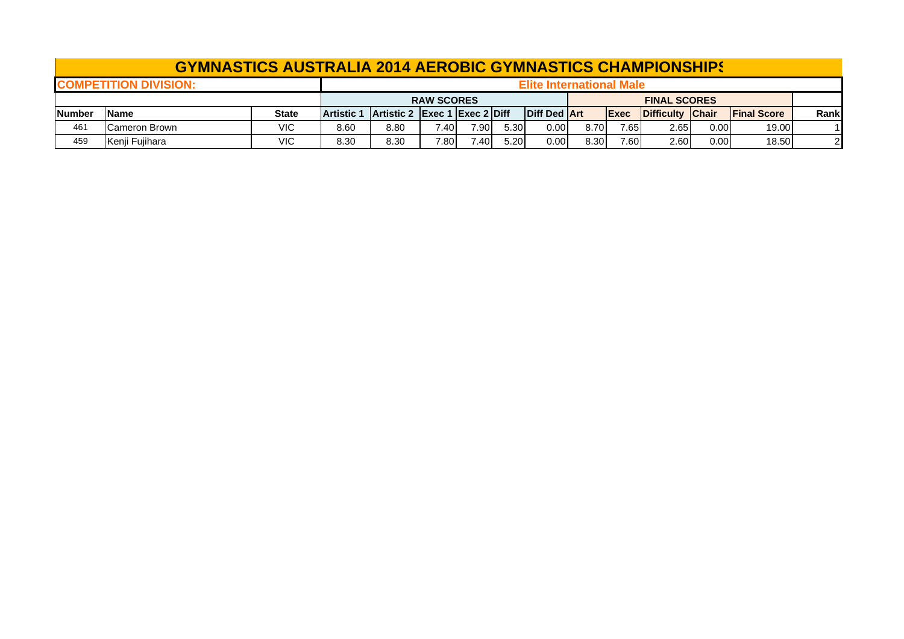|                | <b>GYMNASTICS AUSTRALIA 2014 AEROBIC GYMNASTICS CHAMPIONSHIPS</b> |       |                                                                                                                                      |      |                   |      |      |                                 |      |       |                     |      |       |  |
|----------------|-------------------------------------------------------------------|-------|--------------------------------------------------------------------------------------------------------------------------------------|------|-------------------|------|------|---------------------------------|------|-------|---------------------|------|-------|--|
|                | <b>ICOMPETITION DIVISION:</b>                                     |       |                                                                                                                                      |      |                   |      |      | <b>Elite International Male</b> |      |       |                     |      |       |  |
|                |                                                                   |       |                                                                                                                                      |      | <b>RAW SCORES</b> |      |      |                                 |      |       | <b>FINAL SCORES</b> |      |       |  |
| <b>INumber</b> | <b>IName</b>                                                      | State | Diff Ded Art<br><b>Artistic 2 Exec 1 Exec 2 Diff</b><br>Difficulty Chair<br><b>IFinal Score</b><br><b>Artistic</b> 1<br><b>IExec</b> |      |                   |      |      |                                 |      | Rankl |                     |      |       |  |
| 461            | Cameron Brown                                                     | VIC   | 7.90<br>0.001<br>8.80<br>2.65<br>19.00<br>8.60<br>8.70<br>5.30<br>0.00<br>7.65 <sub>1</sub><br>ا40.                                  |      |                   |      |      |                                 |      |       |                     |      |       |  |
| 459            | Kenji Fujihara                                                    | VIC   | 8.30                                                                                                                                 | 8.30 | 7.80              | 7.40 | 5.20 | 0.001                           | 8.30 | 7.60  | 2.60                | 0.00 | 18.50 |  |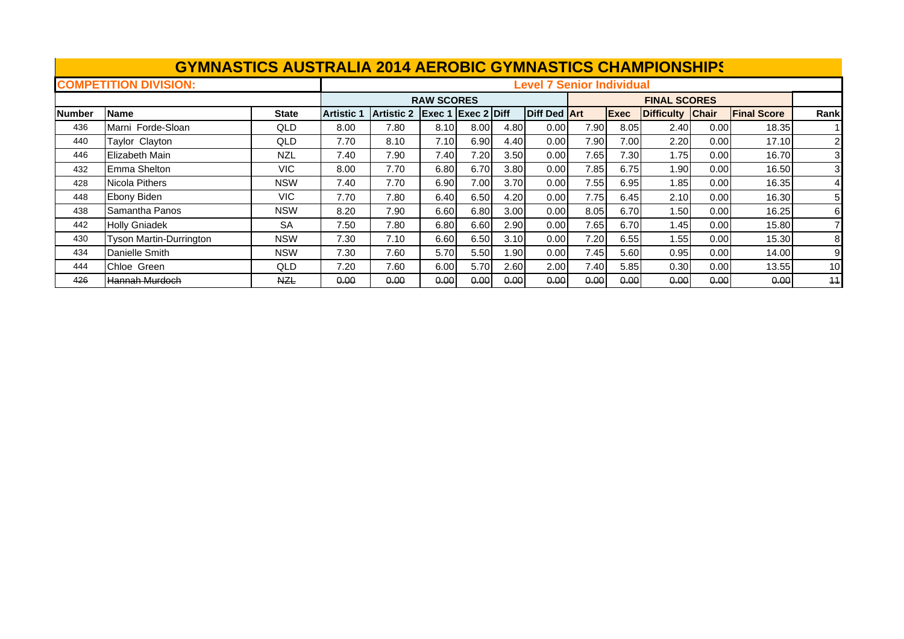|         | <b>GYMNASTICS AUSTRALIA 2014 AEROBIC GYMNASTICS CHAMPIONSHIPS</b> |              |                   |                   |                   |               |              |                                  |      |             |                     |              |                    |                |
|---------|-------------------------------------------------------------------|--------------|-------------------|-------------------|-------------------|---------------|--------------|----------------------------------|------|-------------|---------------------|--------------|--------------------|----------------|
|         | <b>COMPETITION DIVISION:</b>                                      |              |                   |                   |                   |               |              | <b>Level 7 Senior Individual</b> |      |             |                     |              |                    |                |
|         |                                                                   |              |                   |                   | <b>RAW SCORES</b> |               |              |                                  |      |             | <b>FINAL SCORES</b> |              |                    |                |
| lNumber | <b>IName</b>                                                      | <b>State</b> | <b>Artistic 1</b> | <b>Artistic 2</b> | Exec 1            | $Exec 2$ Diff |              | <b>Diff Ded Art</b>              |      | <b>Exec</b> | <b>Difficulty</b>   | <b>Chair</b> | <b>Final Score</b> | Rank           |
| 436     | Marni Forde-Sloan                                                 | QLD          | 8.00              | 7.80              | 8.10              | 8.00          | 4.80         | 0.00                             | 7.90 | 8.05        | 2.40                | 0.00         | 18.35              |                |
| 440     | Taylor Clayton                                                    | QLD          | 7.70              | 8.10              | 7.10I             | 6.90          | 4.40         | 0.00                             | 7.90 | 7.00        | 2.20                | 0.00         | 17.10              | $\overline{2}$ |
| 446     | Elizabeth Main                                                    | <b>NZL</b>   | 7.40              | 7.90              | 7.40              | 7.20          | 3.50         | 0.00                             | 7.65 | 7.30        | 1.75                | 0.00         | 16.70              | 3              |
| 432     | <b>Emma Shelton</b>                                               | VIC.         | 8.00              | 7.70              | 6.80              | 6.70          | 3.80         | 0.00                             | 7.85 | 6.75        | 1.90                | 0.00         | 16.50              | 31             |
| 428     | Nicola Pithers                                                    | <b>NSW</b>   | 7.40              | 7.70              | 6.90              | 7.00          | 3.70         | 0.00                             | 7.55 | 6.95        | 1.85                | 0.00         | 16.35              |                |
| 448     | Ebony Biden                                                       | <b>VIC</b>   | 7.70              | 7.80              | 6.40              | 6.50          | 4.20         | 0.00                             | 7.75 | 6.45        | 2.10                | 0.00         | 16.30              | 51             |
| 438     | Samantha Panos                                                    | <b>NSW</b>   | 8.20              | 7.90              | 6.60              | 6.80          | 3.00         | 0.00                             | 8.05 | 6.70        | 1.50                | 0.00         | 16.25              | 61             |
| 442     | <b>Holly Gniadek</b>                                              | <b>SA</b>    | 7.50              | 7.80              | 6.80              | 6.60          | 2.90         | 0.00                             | 7.65 | 6.70        | 1.45                | 0.00         | 15.80              |                |
| 430     | Tyson Martin-Durrington                                           | <b>NSW</b>   | 7.30              | 7.10              | 6.60              | 6.50          | 3.10         | 0.00                             | 7.20 | 6.55        | 1.55                | 0.00         | 15.30              | 81             |
| 434     | Danielle Smith                                                    | <b>NSW</b>   | 7.30              | 7.60              | 5.70<br>5.50      | 1.90          | 7.45<br>5.60 | 0.95                             | 0.00 | 14.00       | 9                   |              |                    |                |
| 444     | Chloe Green                                                       | QLD          | 7.20              | 7.60              | 6.00              | 5.70          | 2.60         | 2.00                             | 7.40 | 5.85        | 0.30                | 0.00         | 13.55              | 10             |
| 426     | <del>-lannah Murdoch</del>                                        | <b>NZL</b>   | 0.00              | 0.00              | 0.00              | 0.00          | 0.00         | 0.00                             | 0.00 | 0.00        | 0.00                | 0.00         | 0.00               | 11             |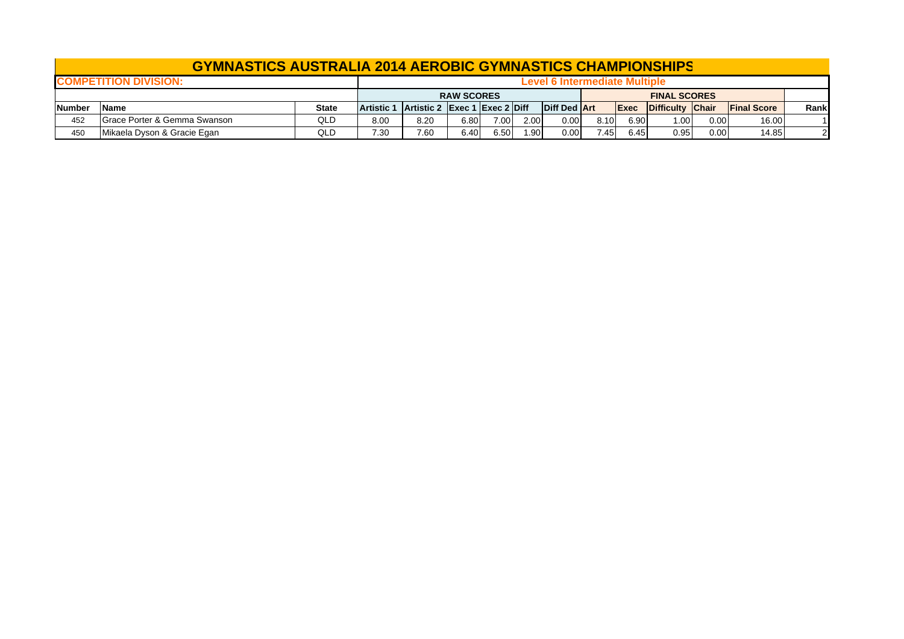## **GYMNASTICS AUSTRALIA 2014 AEROBIC GYMNASTICS CHAMPIONSHIP S**

|               | <b>COMPETITION DIVISION:</b>            |              |                   |                               |                   |      |      |                     |      |             |                     |      |                    |       |
|---------------|-----------------------------------------|--------------|-------------------|-------------------------------|-------------------|------|------|---------------------|------|-------------|---------------------|------|--------------------|-------|
|               |                                         |              |                   |                               | <b>RAW SCORES</b> |      |      |                     |      |             | <b>FINAL SCORES</b> |      |                    |       |
| <b>Number</b> | <b>Name</b>                             | <b>State</b> | <b>Artistic 1</b> | Artistic 2 Exec 1 Exec 2 Diff |                   |      |      | <b>Diff Ded Art</b> |      | <b>Exec</b> | Difficulty Chair    |      | <b>Final Score</b> | Rankl |
| 452           | <b>Grace Porter &amp; Gemma Swanson</b> | QLD          | 8.00              | 8.20                          | 6.80              | 7.00 | 2.00 | 0.00                | 8.10 | 6.90        | .001                | 0.00 | 16.00              | 11    |
| 450           | Mikaela Dyson & Gracie Egan             | QLD          | 7.30              | 7.60                          | 6.40              | 5.50 | .90  | 0.00                | .45  | 6.45        | 0.95                | 0.00 | 14.85              | 21    |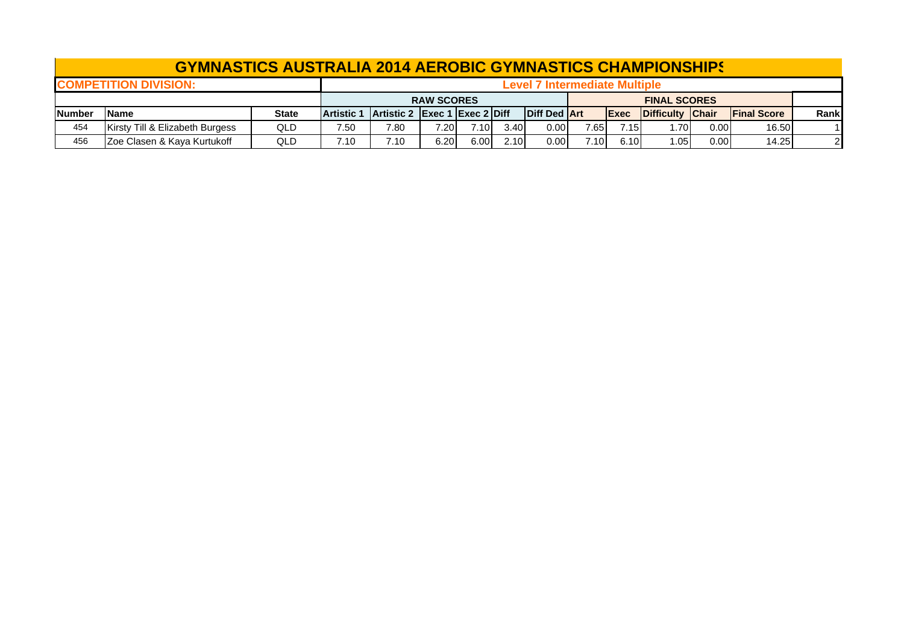|                | <b>GYMNASTICS AUSTRALIA 2014 AEROBIC GYMNASTICS CHAMPIONSHIPS</b> |              |                                                                                                                                      |      |                   |      |      |                                      |      |      |                     |      |       |    |
|----------------|-------------------------------------------------------------------|--------------|--------------------------------------------------------------------------------------------------------------------------------------|------|-------------------|------|------|--------------------------------------|------|------|---------------------|------|-------|----|
|                | <b>ICOMPETITION DIVISION:</b>                                     |              |                                                                                                                                      |      |                   |      |      | <b>Level 7 Intermediate Multiple</b> |      |      |                     |      |       |    |
|                |                                                                   |              |                                                                                                                                      |      | <b>RAW SCORES</b> |      |      |                                      |      |      | <b>FINAL SCORES</b> |      |       |    |
| <b>INumber</b> | lName                                                             | <b>State</b> | <b>Diff Ded Art</b><br>Artistic 2 Exec 1 Exec 2 Diff<br>Difficulty Chair<br><b>IFinal Score</b><br><b>Artistic 1</b><br><b>IExec</b> |      |                   |      |      |                                      |      |      | Rankl               |      |       |    |
| 454            | Kirsty Till & Elizabeth Burgess                                   | QLD          | 7.80<br>0.00<br>16.50<br>7.10<br>3.40<br>7.15<br>7.50<br>7.20<br>7.65<br>.701<br>0.001                                               |      |                   |      |      |                                      |      |      |                     |      |       |    |
| 456            | Zoe Clasen & Kaya Kurtukoff                                       | QLD          | 7.10                                                                                                                                 | 7.10 | 6.20              | 6.00 | 2.10 | 0.00                                 | 7.10 | 6.10 | 1.05                | 0.00 | 14.25 | 21 |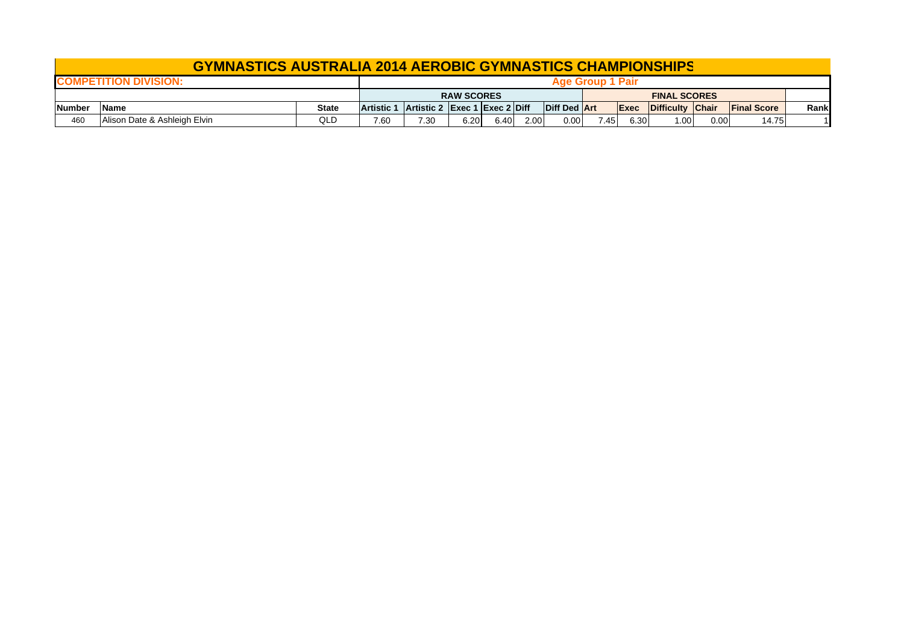|               | <b>GYMNASTICS AUSTRALIA 2014 AEROBIC GYMNASTICS CHAMPIONSHIPS</b> |              |                                                                                                                                                                                                                        |  |                   |  |  |                         |  |  |                     |  |      |
|---------------|-------------------------------------------------------------------|--------------|------------------------------------------------------------------------------------------------------------------------------------------------------------------------------------------------------------------------|--|-------------------|--|--|-------------------------|--|--|---------------------|--|------|
|               | <b>COMPETITION DIVISION:</b>                                      |              |                                                                                                                                                                                                                        |  |                   |  |  | <b>Age Group 1 Pair</b> |  |  |                     |  |      |
|               |                                                                   |              |                                                                                                                                                                                                                        |  | <b>RAW SCORES</b> |  |  |                         |  |  | <b>FINAL SCORES</b> |  |      |
| <b>Number</b> | <b>Name</b>                                                       | <b>State</b> | <b>Artistic 1</b>                                                                                                                                                                                                      |  |                   |  |  |                         |  |  |                     |  | Rank |
| 460           | Alison Date & Ashleigh Elvin                                      | QLD          | Diff Ded Art<br><b>Artistic 2 Exec 1 Exec 2 Diff</b><br>Difficulty Chair<br><b>IFinal Score</b><br><b>IExec</b><br>6.40<br>0.00<br>2.00<br>6.30<br>6.20<br>7.30<br>1.00 <sub>1</sub><br>0.00<br>7.60<br>7.45.<br>14.75 |  |                   |  |  |                         |  |  |                     |  |      |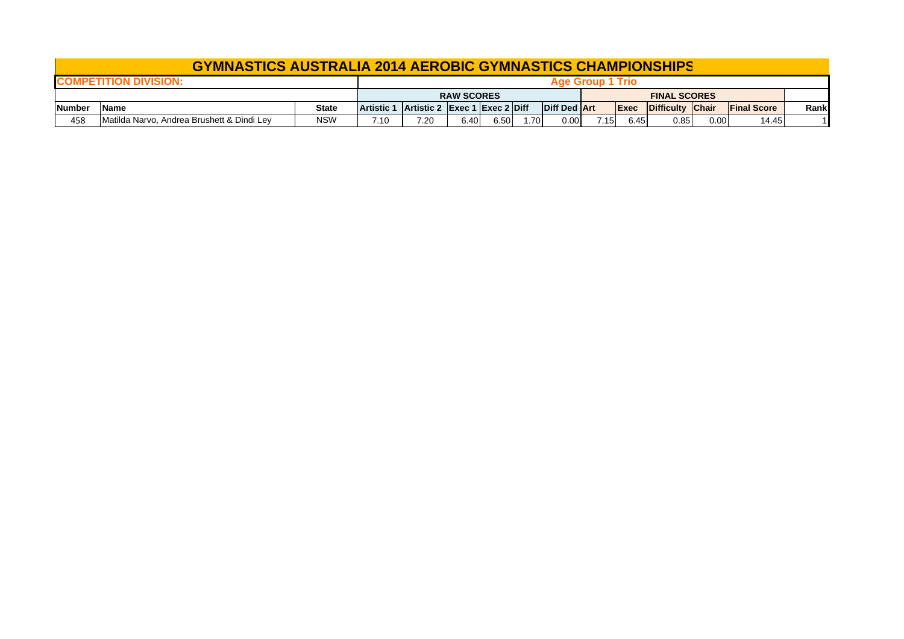## **GYMNASTICS AUSTRALIA 2014 AEROBIC GYMNASTICS CHAMPIONSHIP S**

|              | <b>COMPETITION DIVISION:</b>               |              |                                                                                                                                    |      |                   |      |     |      |      | <b>Trio</b> |                     |      |       |  |
|--------------|--------------------------------------------|--------------|------------------------------------------------------------------------------------------------------------------------------------|------|-------------------|------|-----|------|------|-------------|---------------------|------|-------|--|
|              |                                            |              |                                                                                                                                    |      | <b>RAW SCORES</b> |      |     |      |      |             | <b>FINAL SCORES</b> |      |       |  |
| <b>Numbe</b> | Name                                       | <b>State</b> | <b>Diff Ded Art</b><br>Artistic 2 Exec 1 Exec 2 Diff<br>Difficulty Chair<br><b>Final Score</b><br><b>Artistic 1</b><br><b>Exec</b> |      |                   |      |     |      | Rank |             |                     |      |       |  |
| 458          | Matilda Narvo, Andrea Brushett & Dindi Ley | <b>NSW</b>   | 7.10                                                                                                                               | 7.20 | 5.40              | 6.50 | .70 | 0.00 | 7.15 | 6.45        | 0.85                | 0.00 | 14.45 |  |